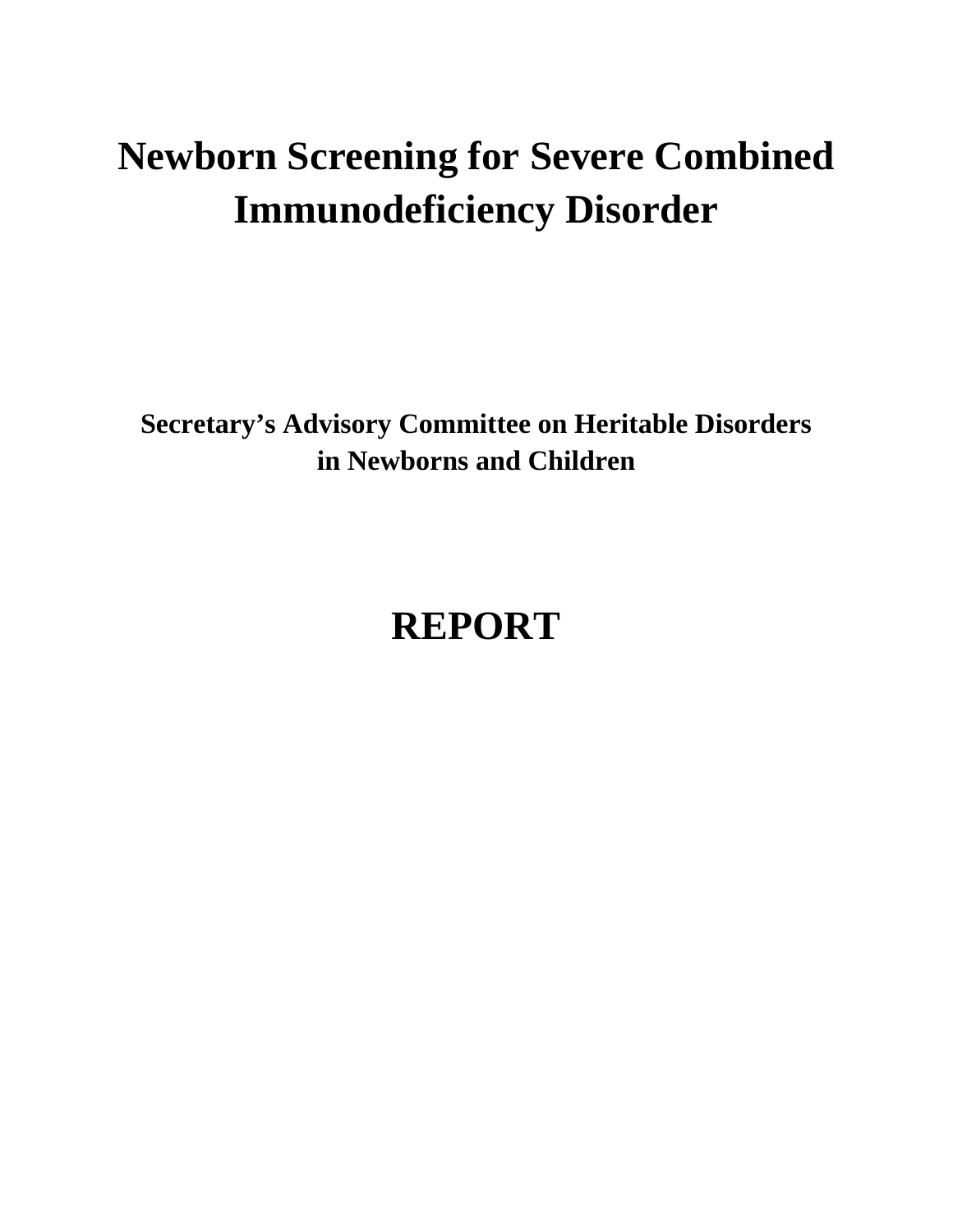# **Newborn Screening for Severe Combined Immunodeficiency Disorder**

**Secretary's Advisory Committee on Heritable Disorders in Newborns and Children** 

# **REPORT**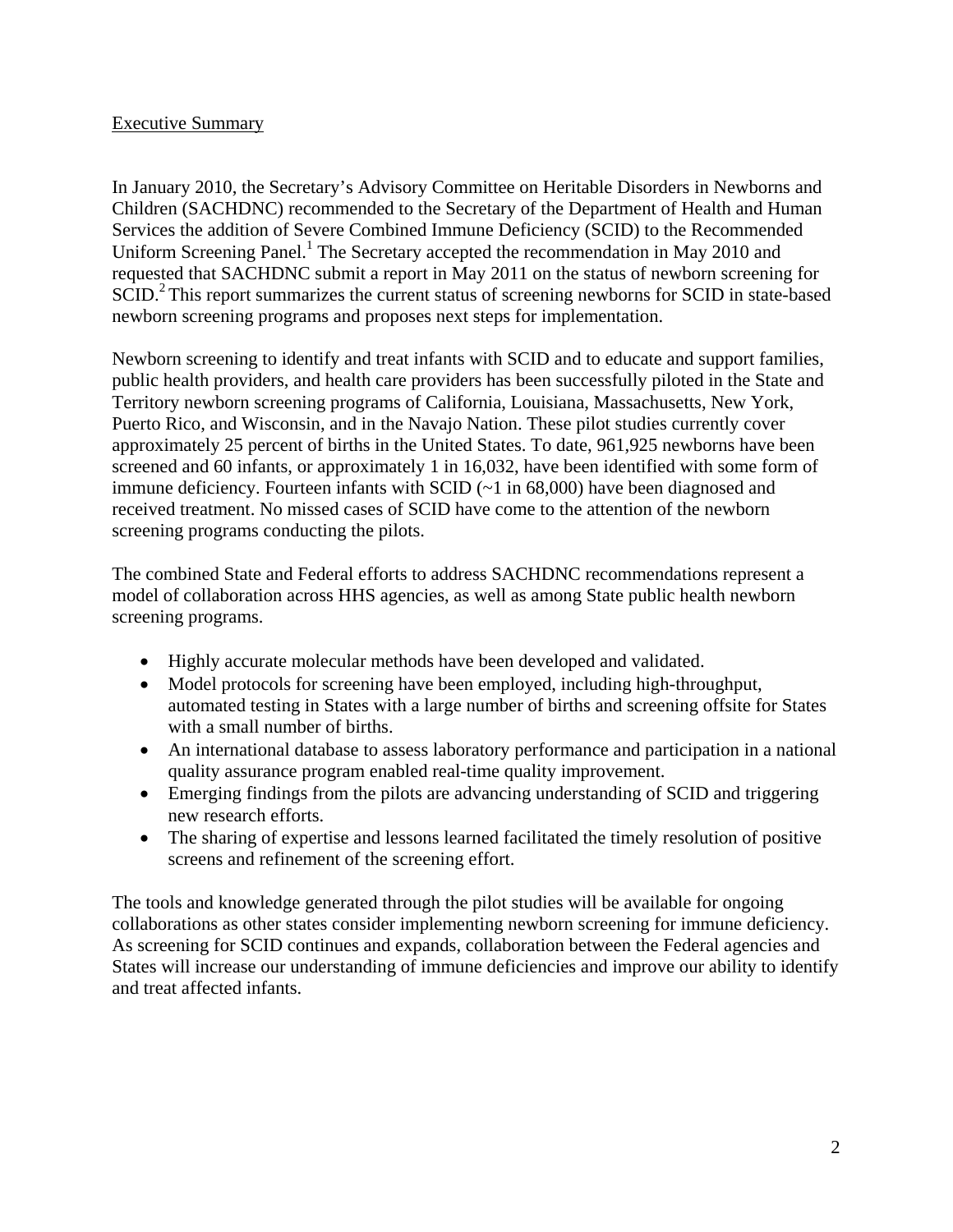#### Executive Summary

In January 2010, the Secretary's Advisory Committee on Heritable Disorders in Newborns and Children (SACHDNC) recommended to the Secretary of the Department of Health and Human Services the addition of Severe Combined Immune Deficiency (SCID) to the Recommended Uniform Screening Panel.<sup>1</sup> The Secretary accepted the recommendation in May 2010 and requested that SACHDNC submit a report in May 2011 on the status of newborn screening for SCID.<sup>2</sup> This report summarizes the current status of screening newborns for SCID in state-based newborn screening programs and proposes next steps for implementation.

Newborn screening to identify and treat infants with SCID and to educate and support families, public health providers, and health care providers has been successfully piloted in the State and Territory newborn screening programs of California, Louisiana, Massachusetts, New York, Puerto Rico, and Wisconsin, and in the Navajo Nation. These pilot studies currently cover approximately 25 percent of births in the United States. To date, 961,925 newborns have been screened and 60 infants, or approximately 1 in 16,032, have been identified with some form of immune deficiency. Fourteen infants with SCID (~1 in 68,000) have been diagnosed and received treatment. No missed cases of SCID have come to the attention of the newborn screening programs conducting the pilots.

The combined State and Federal efforts to address SACHDNC recommendations represent a model of collaboration across HHS agencies, as well as among State public health newborn screening programs.

- Highly accurate molecular methods have been developed and validated.
- Model protocols for screening have been employed, including high-throughput, automated testing in States with a large number of births and screening offsite for States with a small number of births.
- An international database to assess laboratory performance and participation in a national quality assurance program enabled real-time quality improvement.
- Emerging findings from the pilots are advancing understanding of SCID and triggering new research efforts.
- The sharing of expertise and lessons learned facilitated the timely resolution of positive screens and refinement of the screening effort.

The tools and knowledge generated through the pilot studies will be available for ongoing collaborations as other states consider implementing newborn screening for immune deficiency. As screening for SCID continues and expands, collaboration between the Federal agencies and States will increase our understanding of immune deficiencies and improve our ability to identify and treat affected infants.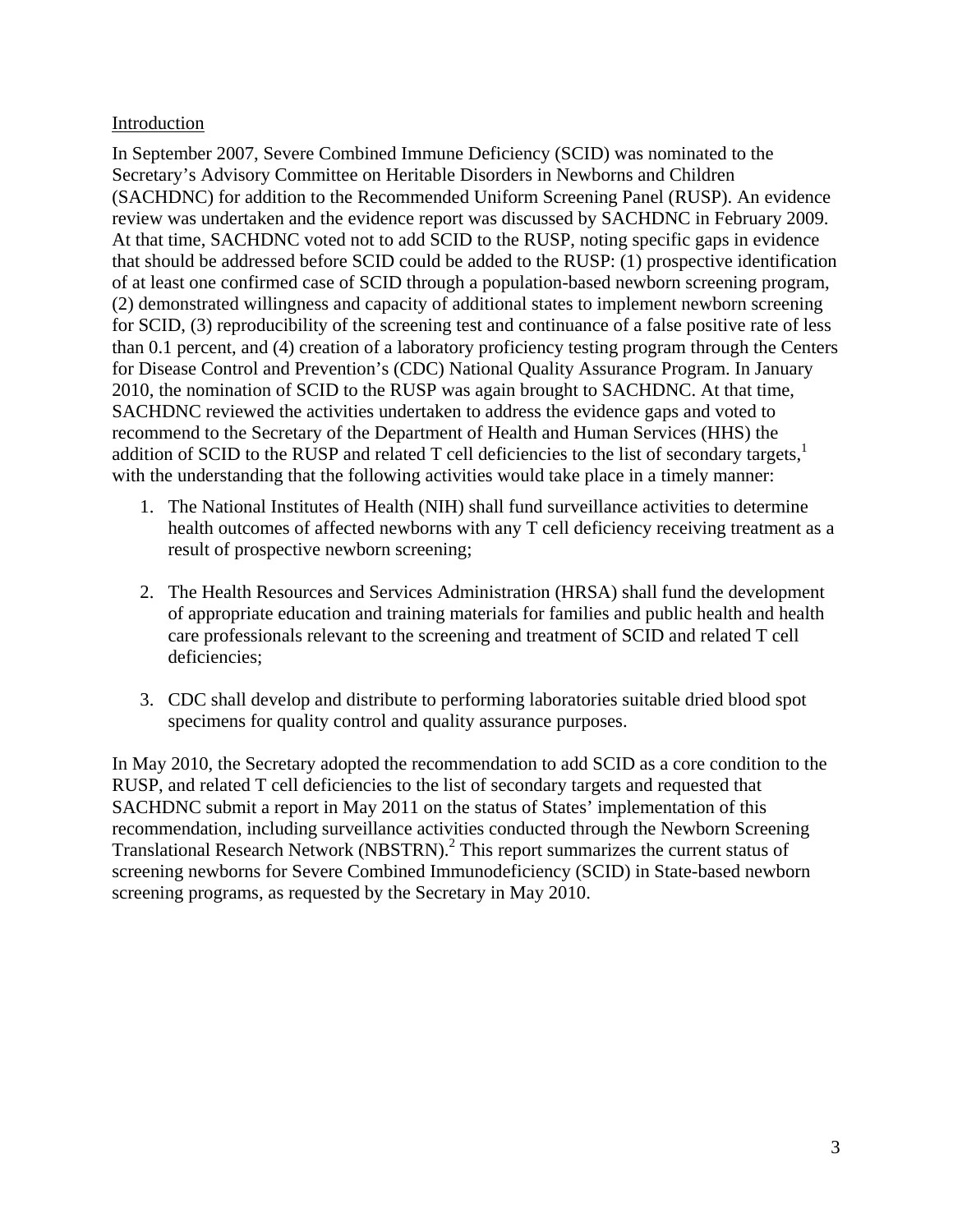#### Introduction

In September 2007, Severe Combined Immune Deficiency (SCID) was nominated to the Secretary's Advisory Committee on Heritable Disorders in Newborns and Children (SACHDNC) for addition to the Recommended Uniform Screening Panel (RUSP). An evidence review was undertaken and the evidence report was discussed by SACHDNC in February 2009. At that time, SACHDNC voted not to add SCID to the RUSP, noting specific gaps in evidence that should be addressed before SCID could be added to the RUSP: (1) prospective identification of at least one confirmed case of SCID through a population-based newborn screening program, (2) demonstrated willingness and capacity of additional states to implement newborn screening for SCID, (3) reproducibility of the screening test and continuance of a false positive rate of less than 0.1 percent, and (4) creation of a laboratory proficiency testing program through the Centers for Disease Control and Prevention's (CDC) National Quality Assurance Program. In January 2010, the nomination of SCID to the RUSP was again brought to SACHDNC. At that time, SACHDNC reviewed the activities undertaken to address the evidence gaps and voted to recommend to the Secretary of the Department of Health and Human Services (HHS) the addition of SCID to the RUSP and related  $T$  cell deficiencies to the list of secondary targets,<sup>1</sup> with the understanding that the following activities would take place in a timely manner:

- 1. The National Institutes of Health (NIH) shall fund surveillance activities to determine health outcomes of affected newborns with any T cell deficiency receiving treatment as a result of prospective newborn screening;
- 2. The Health Resources and Services Administration (HRSA) shall fund the development of appropriate education and training materials for families and public health and health care professionals relevant to the screening and treatment of SCID and related T cell deficiencies:
- 3. CDC shall develop and distribute to performing laboratories suitable dried blood spot specimens for quality control and quality assurance purposes.

In May 2010, the Secretary adopted the recommendation to add SCID as a core condition to the RUSP, and related T cell deficiencies to the list of secondary targets and requested that SACHDNC submit a report in May 2011 on the status of States' implementation of this recommendation, including surveillance activities conducted through the Newborn Screening Translational Research Network (NBSTRN).<sup>2</sup> This report summarizes the current status of screening newborns for Severe Combined Immunodeficiency (SCID) in State-based newborn screening programs, as requested by the Secretary in May 2010.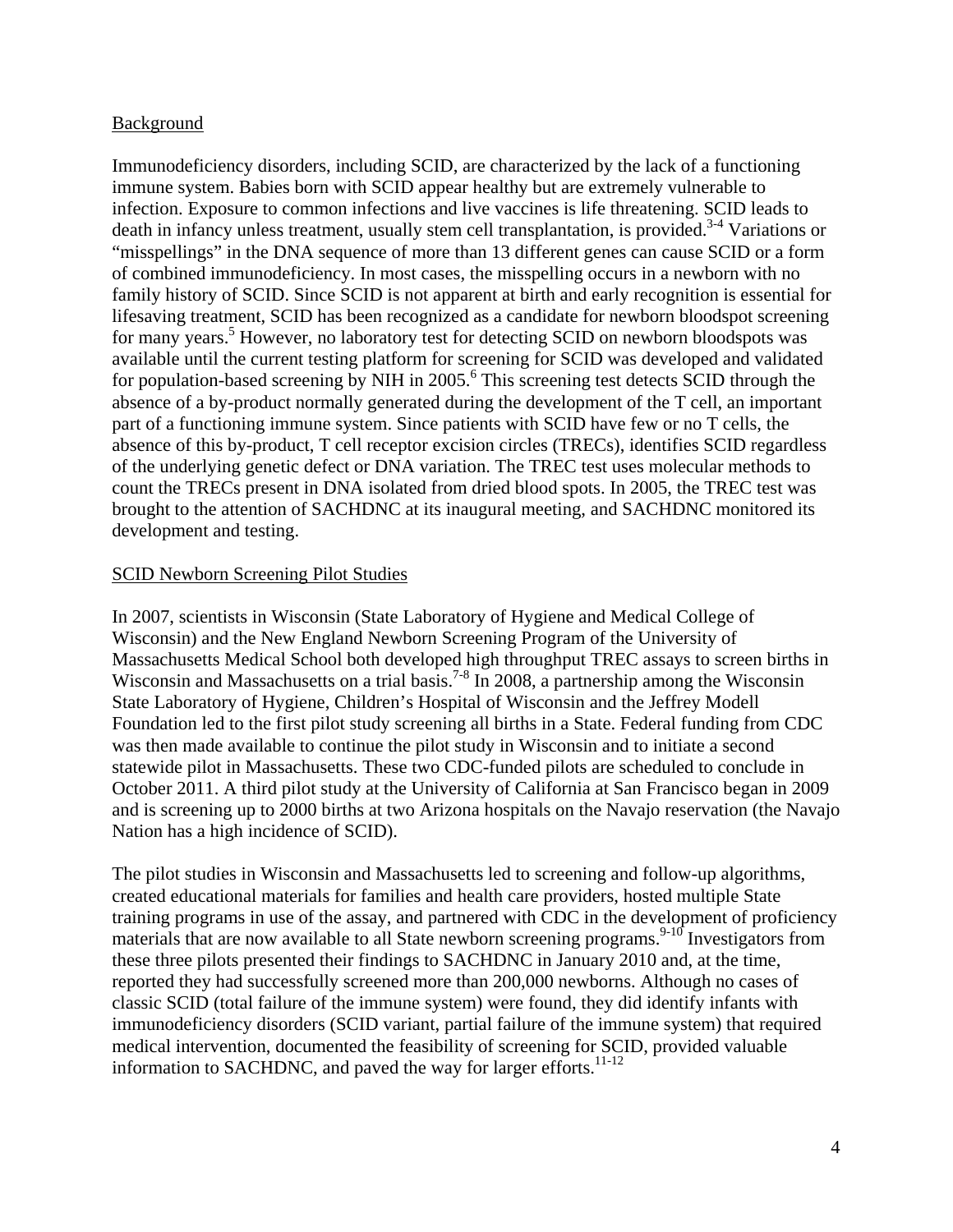#### Background

Immunodeficiency disorders, including SCID, are characterized by the lack of a functioning immune system. Babies born with SCID appear healthy but are extremely vulnerable to infection. Exposure to common infections and live vaccines is life threatening. SCID leads to death in infancy unless treatment, usually stem cell transplantation, is provided.<sup>3-4</sup> Variations or "misspellings" in the DNA sequence of more than 13 different genes can cause SCID or a form of combined immunodeficiency. In most cases, the misspelling occurs in a newborn with no family history of SCID. Since SCID is not apparent at birth and early recognition is essential for lifesaving treatment, SCID has been recognized as a candidate for newborn bloodspot screening for many years.<sup>5</sup> However, no laboratory test for detecting SCID on newborn bloodspots was available until the current testing platform for screening for SCID was developed and validated for population-based screening by NIH in  $2005$ .<sup>6</sup> This screening test detects SCID through the absence of a by-product normally generated during the development of the T cell, an important part of a functioning immune system. Since patients with SCID have few or no T cells, the absence of this by-product, T cell receptor excision circles (TRECs), identifies SCID regardless of the underlying genetic defect or DNA variation. The TREC test uses molecular methods to count the TRECs present in DNA isolated from dried blood spots. In 2005, the TREC test was brought to the attention of SACHDNC at its inaugural meeting, and SACHDNC monitored its development and testing.

#### SCID Newborn Screening Pilot Studies

In 2007, scientists in Wisconsin (State Laboratory of Hygiene and Medical College of Wisconsin) and the New England Newborn Screening Program of the University of Massachusetts Medical School both developed high throughput TREC assays to screen births in Wisconsin and Massachusetts on a trial basis.<sup>7-8</sup> In 2008, a partnership among the Wisconsin State Laboratory of Hygiene, Children's Hospital of Wisconsin and the Jeffrey Modell Foundation led to the first pilot study screening all births in a State. Federal funding from CDC was then made available to continue the pilot study in Wisconsin and to initiate a second statewide pilot in Massachusetts. These two CDC-funded pilots are scheduled to conclude in October 2011. A third pilot study at the University of California at San Francisco began in 2009 and is screening up to 2000 births at two Arizona hospitals on the Navajo reservation (the Navajo Nation has a high incidence of SCID).

The pilot studies in Wisconsin and Massachusetts led to screening and follow-up algorithms, created educational materials for families and health care providers, hosted multiple State training programs in use of the assay, and partnered with CDC in the development of proficiency materials that are now available to all State newborn screening programs.<sup>9-10</sup> Investigators from these three pilots presented their findings to SACHDNC in January 2010 and, at the time, reported they had successfully screened more than 200,000 newborns. Although no cases of classic SCID (total failure of the immune system) were found, they did identify infants with immunodeficiency disorders (SCID variant, partial failure of the immune system) that required medical intervention, documented the feasibility of screening for SCID, provided valuable information to SACHDNC, and paved the way for larger efforts. $11-12$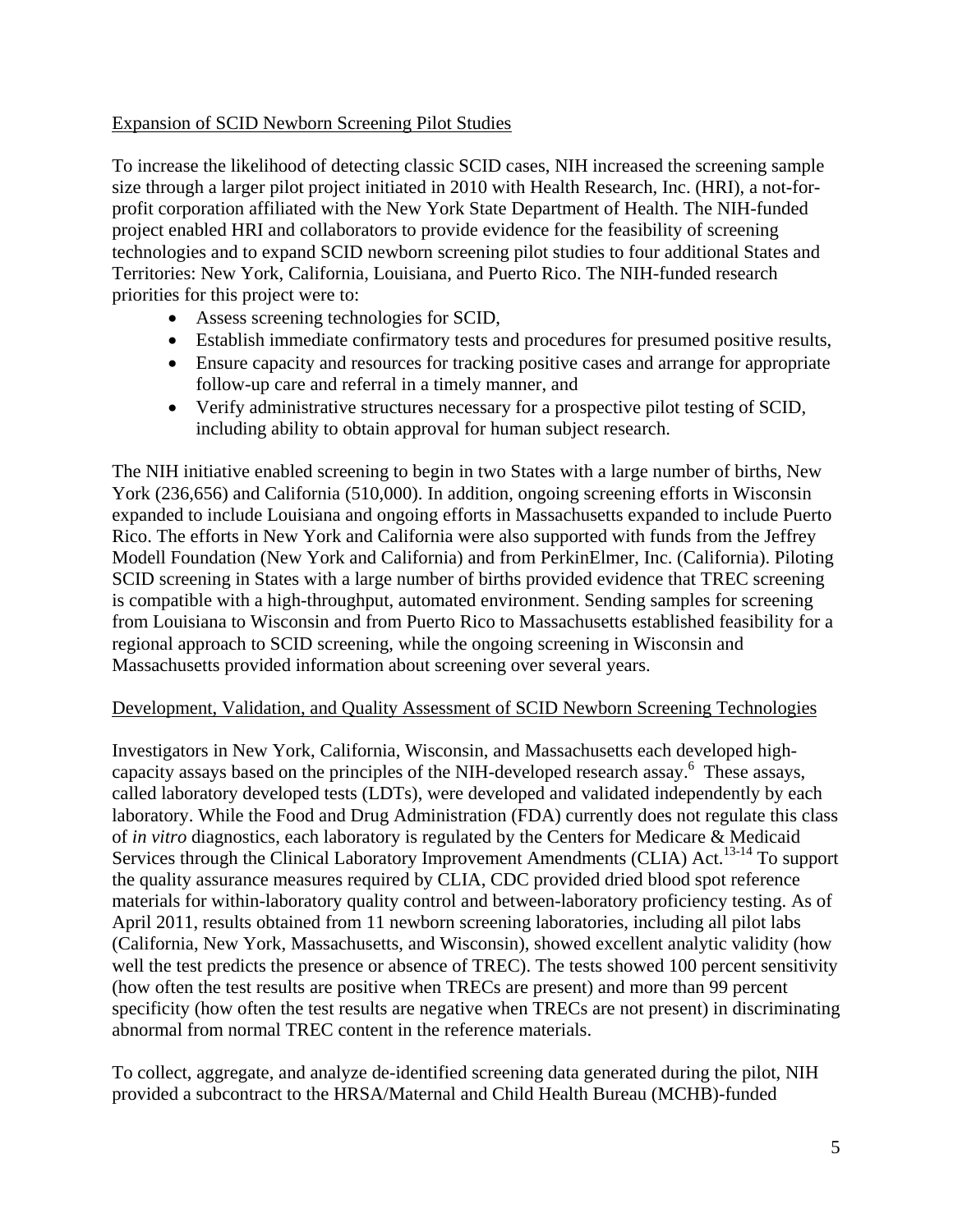#### Expansion of SCID Newborn Screening Pilot Studies

To increase the likelihood of detecting classic SCID cases, NIH increased the screening sample size through a larger pilot project initiated in 2010 with Health Research, Inc. (HRI), a not-forprofit corporation affiliated with the New York State Department of Health. The NIH-funded project enabled HRI and collaborators to provide evidence for the feasibility of screening technologies and to expand SCID newborn screening pilot studies to four additional States and Territories: New York, California, Louisiana, and Puerto Rico. The NIH-funded research priorities for this project were to:

- Assess screening technologies for SCID,
- Establish immediate confirmatory tests and procedures for presumed positive results,
- Ensure capacity and resources for tracking positive cases and arrange for appropriate follow-up care and referral in a timely manner, and
- Verify administrative structures necessary for a prospective pilot testing of SCID, including ability to obtain approval for human subject research.

The NIH initiative enabled screening to begin in two States with a large number of births, New York (236,656) and California (510,000). In addition, ongoing screening efforts in Wisconsin expanded to include Louisiana and ongoing efforts in Massachusetts expanded to include Puerto Rico. The efforts in New York and California were also supported with funds from the Jeffrey Modell Foundation (New York and California) and from PerkinElmer, Inc. (California). Piloting SCID screening in States with a large number of births provided evidence that TREC screening is compatible with a high-throughput, automated environment. Sending samples for screening from Louisiana to Wisconsin and from Puerto Rico to Massachusetts established feasibility for a regional approach to SCID screening, while the ongoing screening in Wisconsin and Massachusetts provided information about screening over several years.

#### Development, Validation, and Quality Assessment of SCID Newborn Screening Technologies

Investigators in New York, California, Wisconsin, and Massachusetts each developed highcapacity assays based on the principles of the NIH-developed research assay.<sup>6</sup> These assays, called laboratory developed tests (LDTs), were developed and validated independently by each laboratory. While the Food and Drug Administration (FDA) currently does not regulate this class of *in vitro* diagnostics, each laboratory is regulated by the Centers for Medicare & Medicaid Services through the Clinical Laboratory Improvement Amendments (CLIA) Act.<sup>13-14</sup> To support the quality assurance measures required by CLIA, CDC provided dried blood spot reference materials for within-laboratory quality control and between-laboratory proficiency testing. As of April 2011, results obtained from 11 newborn screening laboratories, including all pilot labs (California, New York, Massachusetts, and Wisconsin), showed excellent analytic validity (how well the test predicts the presence or absence of TREC). The tests showed 100 percent sensitivity (how often the test results are positive when TRECs are present) and more than 99 percent specificity (how often the test results are negative when TRECs are not present) in discriminating abnormal from normal TREC content in the reference materials.

To collect, aggregate, and analyze de-identified screening data generated during the pilot, NIH provided a subcontract to the HRSA/Maternal and Child Health Bureau (MCHB)-funded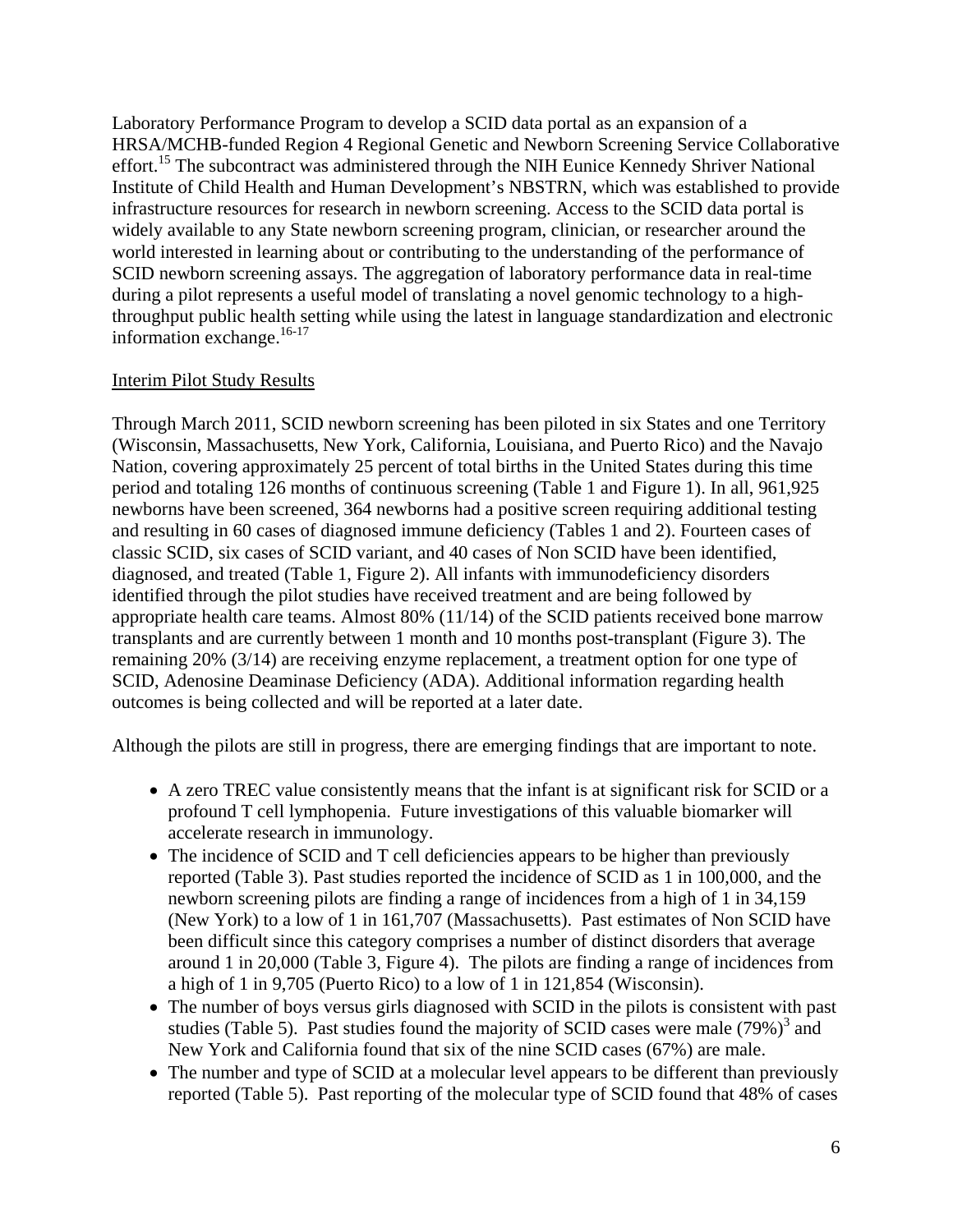Laboratory Performance Program to develop a SCID data portal as an expansion of a HRSA/MCHB-funded Region 4 Regional Genetic and Newborn Screening Service Collaborative effort.<sup>15</sup> The subcontract was administered through the NIH Eunice Kennedy Shriver National Institute of Child Health and Human Development's NBSTRN, which was established to provide infrastructure resources for research in newborn screening. Access to the SCID data portal is widely available to any State newborn screening program, clinician, or researcher around the world interested in learning about or contributing to the understanding of the performance of SCID newborn screening assays. The aggregation of laboratory performance data in real-time during a pilot represents a useful model of translating a novel genomic technology to a highthroughput public health setting while using the latest in language standardization and electronic information exchange.<sup>16-17</sup>

#### Interim Pilot Study Results

Through March 2011, SCID newborn screening has been piloted in six States and one Territory (Wisconsin, Massachusetts, New York, California, Louisiana, and Puerto Rico) and the Navajo Nation, covering approximately 25 percent of total births in the United States during this time period and totaling 126 months of continuous screening (Table 1 and Figure 1). In all, 961,925 newborns have been screened, 364 newborns had a positive screen requiring additional testing and resulting in 60 cases of diagnosed immune deficiency (Tables 1 and 2). Fourteen cases of classic SCID, six cases of SCID variant, and 40 cases of Non SCID have been identified, diagnosed, and treated (Table 1, Figure 2). All infants with immunodeficiency disorders identified through the pilot studies have received treatment and are being followed by appropriate health care teams. Almost 80% (11/14) of the SCID patients received bone marrow transplants and are currently between 1 month and 10 months post-transplant (Figure 3). The remaining 20% (3/14) are receiving enzyme replacement, a treatment option for one type of SCID, Adenosine Deaminase Deficiency (ADA). Additional information regarding health outcomes is being collected and will be reported at a later date.

Although the pilots are still in progress, there are emerging findings that are important to note.

- A zero TREC value consistently means that the infant is at significant risk for SCID or a profound T cell lymphopenia. Future investigations of this valuable biomarker will accelerate research in immunology.
- The incidence of SCID and T cell deficiencies appears to be higher than previously reported (Table 3). Past studies reported the incidence of SCID as 1 in 100,000, and the newborn screening pilots are finding a range of incidences from a high of 1 in 34,159 (New York) to a low of 1 in 161,707 (Massachusetts). Past estimates of Non SCID have been difficult since this category comprises a number of distinct disorders that average around 1 in 20,000 (Table 3, Figure 4). The pilots are finding a range of incidences from a high of 1 in 9,705 (Puerto Rico) to a low of 1 in 121,854 (Wisconsin).
- The number of boys versus girls diagnosed with SCID in the pilots is consistent with past studies (Table 5). Past studies found the majority of SCID cases were male  $(79\%)^3$  and New York and California found that six of the nine SCID cases (67%) are male.
- The number and type of SCID at a molecular level appears to be different than previously reported (Table 5). Past reporting of the molecular type of SCID found that 48% of cases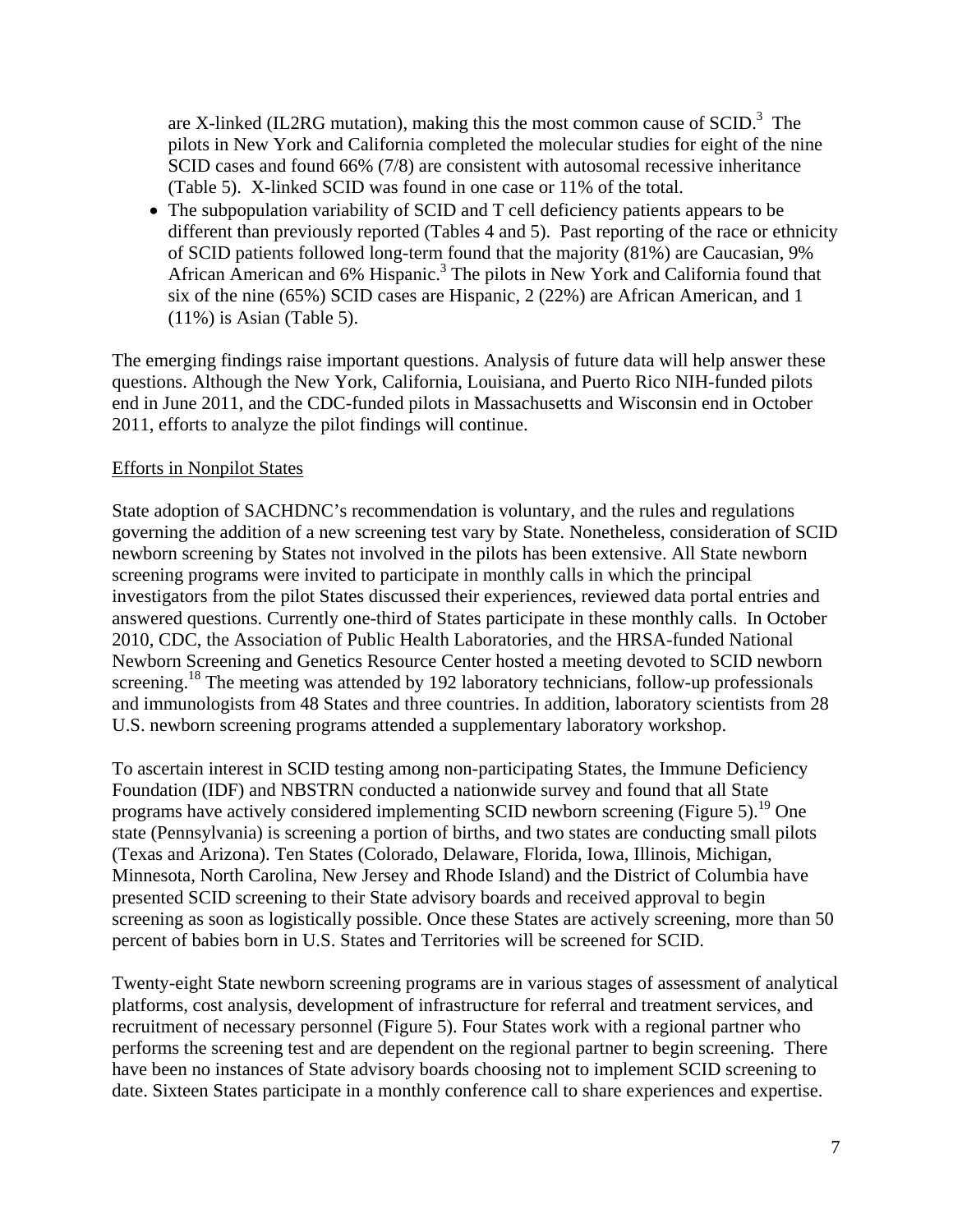are X-linked (IL2RG mutation), making this the most common cause of  $SCID$ <sup>3</sup>. The pilots in New York and California completed the molecular studies for eight of the nine SCID cases and found 66% (7/8) are consistent with autosomal recessive inheritance (Table 5). X-linked SCID was found in one case or 11% of the total.

• The subpopulation variability of SCID and T cell deficiency patients appears to be different than previously reported (Tables 4 and 5). Past reporting of the race or ethnicity of SCID patients followed long-term found that the majority (81%) are Caucasian, 9% African American and 6% Hispanic.<sup>3</sup> The pilots in New York and California found that six of the nine (65%) SCID cases are Hispanic, 2 (22%) are African American, and 1 (11%) is Asian (Table 5).

The emerging findings raise important questions. Analysis of future data will help answer these questions. Although the New York, California, Louisiana, and Puerto Rico NIH-funded pilots end in June 2011, and the CDC-funded pilots in Massachusetts and Wisconsin end in October 2011, efforts to analyze the pilot findings will continue.

#### Efforts in Nonpilot States

State adoption of SACHDNC's recommendation is voluntary, and the rules and regulations governing the addition of a new screening test vary by State. Nonetheless, consideration of SCID newborn screening by States not involved in the pilots has been extensive. All State newborn screening programs were invited to participate in monthly calls in which the principal investigators from the pilot States discussed their experiences, reviewed data portal entries and answered questions. Currently one-third of States participate in these monthly calls. In October 2010, CDC, the Association of Public Health Laboratories, and the HRSA-funded National Newborn Screening and Genetics Resource Center hosted a meeting devoted to SCID newborn screening.<sup>18</sup> The meeting was attended by 192 laboratory technicians, follow-up professionals and immunologists from 48 States and three countries. In addition, laboratory scientists from 28 U.S. newborn screening programs attended a supplementary laboratory workshop.

To ascertain interest in SCID testing among non-participating States, the Immune Deficiency Foundation (IDF) and NBSTRN conducted a nationwide survey and found that all State programs have actively considered implementing SCID newborn screening (Figure 5).<sup>19</sup> One state (Pennsylvania) is screening a portion of births, and two states are conducting small pilots (Texas and Arizona). Ten States (Colorado, Delaware, Florida, Iowa, Illinois, Michigan, Minnesota, North Carolina, New Jersey and Rhode Island) and the District of Columbia have presented SCID screening to their State advisory boards and received approval to begin screening as soon as logistically possible. Once these States are actively screening, more than 50 percent of babies born in U.S. States and Territories will be screened for SCID.

Twenty-eight State newborn screening programs are in various stages of assessment of analytical platforms, cost analysis, development of infrastructure for referral and treatment services, and recruitment of necessary personnel (Figure 5). Four States work with a regional partner who performs the screening test and are dependent on the regional partner to begin screening. There have been no instances of State advisory boards choosing not to implement SCID screening to date. Sixteen States participate in a monthly conference call to share experiences and expertise.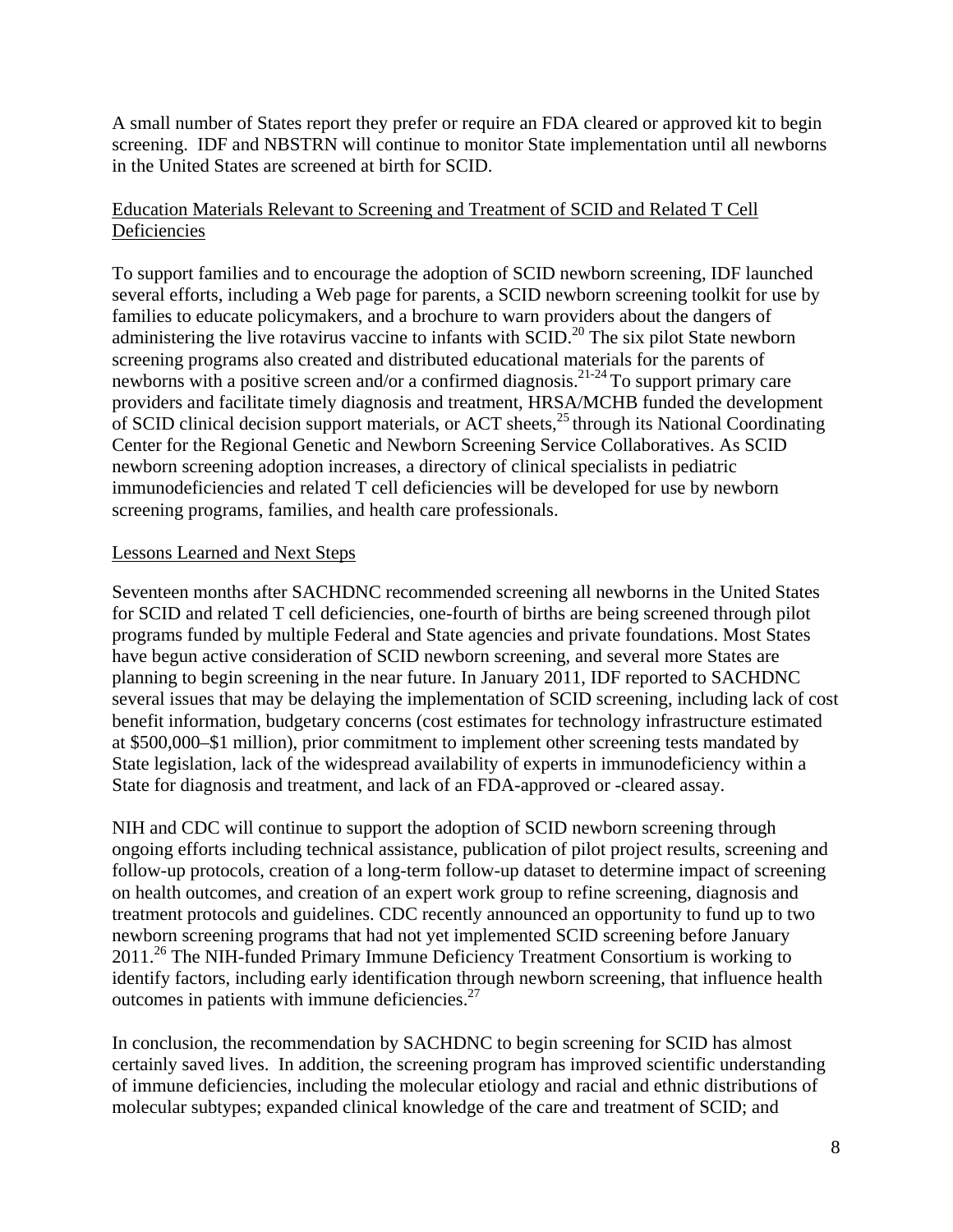A small number of States report they prefer or require an FDA cleared or approved kit to begin screening. IDF and NBSTRN will continue to monitor State implementation until all newborns in the United States are screened at birth for SCID.

#### Education Materials Relevant to Screening and Treatment of SCID and Related T Cell **Deficiencies**

To support families and to encourage the adoption of SCID newborn screening, IDF launched several efforts, including a Web page for parents, a SCID newborn screening toolkit for use by families to educate policymakers, and a brochure to warn providers about the dangers of administering the live rotavirus vaccine to infants with  $SCID$ <sup>20</sup> The six pilot State newborn screening programs also created and distributed educational materials for the parents of newborns with a positive screen and/or a confirmed diagnosis.<sup>21-24</sup> To support primary care providers and facilitate timely diagnosis and treatment, HRSA/MCHB funded the development of SCID clinical decision support materials, or ACT sheets, $^{25}$  through its National Coordinating Center for the Regional Genetic and Newborn Screening Service Collaboratives. As SCID newborn screening adoption increases, a directory of clinical specialists in pediatric immunodeficiencies and related T cell deficiencies will be developed for use by newborn screening programs, families, and health care professionals.

#### Lessons Learned and Next Steps

Seventeen months after SACHDNC recommended screening all newborns in the United States for SCID and related T cell deficiencies, one-fourth of births are being screened through pilot programs funded by multiple Federal and State agencies and private foundations. Most States have begun active consideration of SCID newborn screening, and several more States are planning to begin screening in the near future. In January 2011, IDF reported to SACHDNC several issues that may be delaying the implementation of SCID screening, including lack of cost benefit information, budgetary concerns (cost estimates for technology infrastructure estimated at \$500,000–\$1 million), prior commitment to implement other screening tests mandated by State legislation, lack of the widespread availability of experts in immunodeficiency within a State for diagnosis and treatment, and lack of an FDA-approved or -cleared assay.

NIH and CDC will continue to support the adoption of SCID newborn screening through ongoing efforts including technical assistance, publication of pilot project results, screening and follow-up protocols, creation of a long-term follow-up dataset to determine impact of screening on health outcomes, and creation of an expert work group to refine screening, diagnosis and treatment protocols and guidelines. CDC recently announced an opportunity to fund up to two newborn screening programs that had not yet implemented SCID screening before January 2011.26 The NIH-funded Primary Immune Deficiency Treatment Consortium is working to identify factors, including early identification through newborn screening, that influence health outcomes in patients with immune deficiencies. $27$ 

In conclusion, the recommendation by SACHDNC to begin screening for SCID has almost certainly saved lives. In addition, the screening program has improved scientific understanding of immune deficiencies, including the molecular etiology and racial and ethnic distributions of molecular subtypes; expanded clinical knowledge of the care and treatment of SCID; and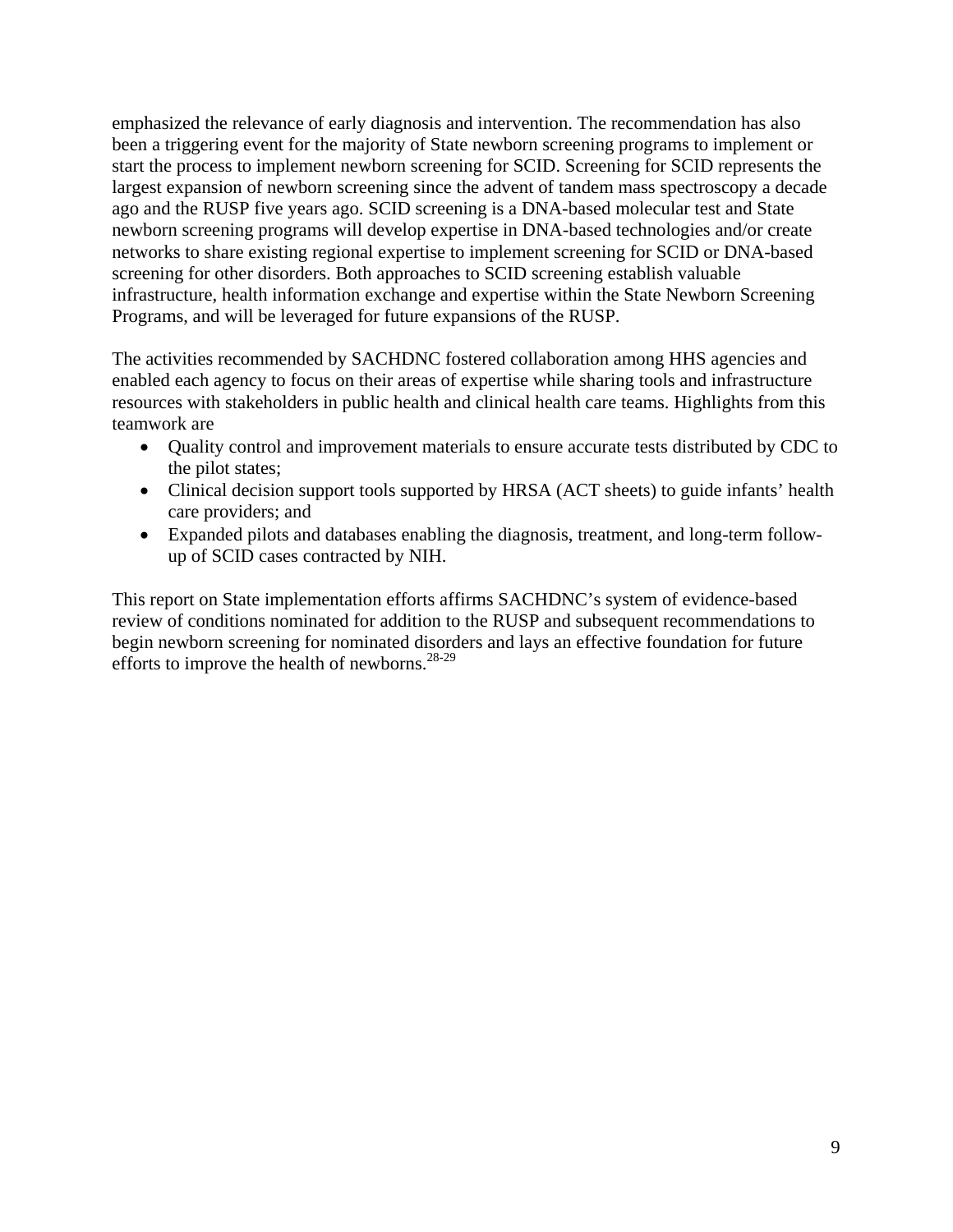emphasized the relevance of early diagnosis and intervention. The recommendation has also been a triggering event for the majority of State newborn screening programs to implement or start the process to implement newborn screening for SCID. Screening for SCID represents the largest expansion of newborn screening since the advent of tandem mass spectroscopy a decade ago and the RUSP five years ago. SCID screening is a DNA-based molecular test and State newborn screening programs will develop expertise in DNA-based technologies and/or create networks to share existing regional expertise to implement screening for SCID or DNA-based screening for other disorders. Both approaches to SCID screening establish valuable infrastructure, health information exchange and expertise within the State Newborn Screening Programs, and will be leveraged for future expansions of the RUSP.

The activities recommended by SACHDNC fostered collaboration among HHS agencies and enabled each agency to focus on their areas of expertise while sharing tools and infrastructure resources with stakeholders in public health and clinical health care teams. Highlights from this teamwork are

- Quality control and improvement materials to ensure accurate tests distributed by CDC to the pilot states;
- Clinical decision support tools supported by HRSA (ACT sheets) to guide infants' health care providers; and
- Expanded pilots and databases enabling the diagnosis, treatment, and long-term followup of SCID cases contracted by NIH.

This report on State implementation efforts affirms SACHDNC's system of evidence-based review of conditions nominated for addition to the RUSP and subsequent recommendations to begin newborn screening for nominated disorders and lays an effective foundation for future efforts to improve the health of newborns.28-29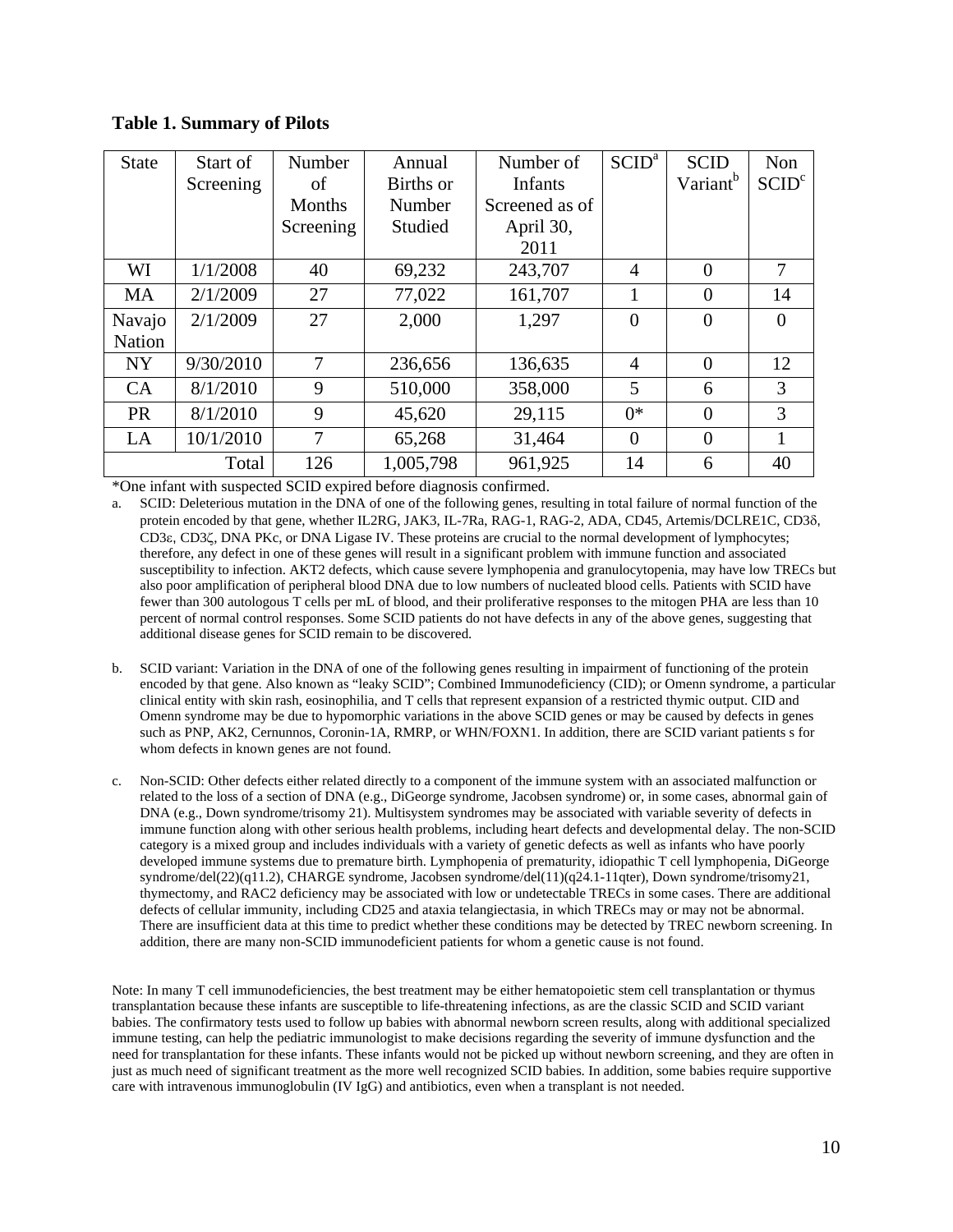**Table 1. Summary of Pilots** 

| <b>State</b>  | Start of  | Number         | Annual    | Number of      | SCID <sup>a</sup> | <b>SCID</b>          | Non               |
|---------------|-----------|----------------|-----------|----------------|-------------------|----------------------|-------------------|
|               | Screening | of             | Births or | <b>Infants</b> |                   | Variant <sup>b</sup> | SCID <sup>c</sup> |
|               |           | Months         | Number    | Screened as of |                   |                      |                   |
|               |           | Screening      | Studied   | April 30,      |                   |                      |                   |
|               |           |                |           | 2011           |                   |                      |                   |
| WI            | 1/1/2008  | 40             | 69,232    | 243,707        | 4                 | $\theta$             | 7                 |
| <b>MA</b>     | 2/1/2009  | 27             | 77,022    | 161,707        |                   | $\theta$             | 14                |
| Navajo        | 2/1/2009  | 27             | 2,000     | 1,297          | $\theta$          | $\theta$             | $\Omega$          |
| <b>Nation</b> |           |                |           |                |                   |                      |                   |
| <b>NY</b>     | 9/30/2010 | $\overline{7}$ | 236,656   | 136,635        | $\overline{4}$    | $\theta$             | 12                |
| CA            | 8/1/2010  | 9              | 510,000   | 358,000        | 5                 | 6                    | 3                 |
| <b>PR</b>     | 8/1/2010  | 9              | 45,620    | 29,115         | $0*$              | $\theta$             | 3                 |
| LA            | 10/1/2010 | 7              | 65,268    | 31,464         | $\theta$          | $\Omega$             |                   |
|               | Total     | 126            | 1,005,798 | 961,925        | 14                | 6                    | 40                |

\*One infant with suspected SCID expired before diagnosis confirmed.

a. SCID: Deleterious mutation in the DNA of one of the following genes, resulting in total failure of normal function of the protein encoded by that gene, whether IL2RG, JAK3, IL-7Ra, RAG-1, RAG-2, ADA, CD45, Artemis/DCLRE1C, CD3 $\delta$ , CD3 $\varepsilon$ , CD3 $\zeta$ , DNA PKc, or DNA Ligase IV. These proteins are crucial to the normal development of lymphocytes; therefore, any defect in one of these genes will result in a significant problem with immune function and associated susceptibility to infection. AKT2 defects, which cause severe lymphopenia and granulocytopenia, may have low TRECs but also poor amplification of peripheral blood DNA due to low numbers of nucleated blood cells. Patients with SCID have fewer than 300 autologous T cells per mL of blood, and their proliferative responses to the mitogen PHA are less than 10 percent of normal control responses. Some SCID patients do not have defects in any of the above genes, suggesting that additional disease genes for SCID remain to be discovered.

- b. SCID variant: Variation in the DNA of one of the following genes resulting in impairment of functioning of the protein encoded by that gene. Also known as "leaky SCID"; Combined Immunodeficiency (CID); or Omenn syndrome, a particular clinical entity with skin rash, eosinophilia, and T cells that represent expansion of a restricted thymic output. CID and Omenn syndrome may be due to hypomorphic variations in the above SCID genes or may be caused by defects in genes such as PNP, AK2, Cernunnos, Coronin-1A, RMRP, or WHN/FOXN1. In addition, there are SCID variant patients s for whom defects in known genes are not found.
- c. Non-SCID: Other defects either related directly to a component of the immune system with an associated malfunction or related to the loss of a section of DNA (e.g., DiGeorge syndrome, Jacobsen syndrome) or, in some cases, abnormal gain of DNA (e.g., Down syndrome/trisomy 21). Multisystem syndromes may be associated with variable severity of defects in immune function along with other serious health problems, including heart defects and developmental delay. The non-SCID category is a mixed group and includes individuals with a variety of genetic defects as well as infants who have poorly developed immune systems due to premature birth. Lymphopenia of prematurity, idiopathic T cell lymphopenia, DiGeorge syndrome/del(22)(q11.2), CHARGE syndrome, Jacobsen syndrome/del(11)(q24.1-11qter), Down syndrome/trisomy21, thymectomy, and RAC2 deficiency may be associated with low or undetectable TRECs in some cases. There are additional defects of cellular immunity, including CD25 and ataxia telangiectasia, in which TRECs may or may not be abnormal. There are insufficient data at this time to predict whether these conditions may be detected by TREC newborn screening. In addition, there are many non-SCID immunodeficient patients for whom a genetic cause is not found.

Note: In many T cell immunodeficiencies, the best treatment may be either hematopoietic stem cell transplantation or thymus transplantation because these infants are susceptible to life-threatening infections, as are the classic SCID and SCID variant babies. The confirmatory tests used to follow up babies with abnormal newborn screen results, along with additional specialized immune testing, can help the pediatric immunologist to make decisions regarding the severity of immune dysfunction and the need for transplantation for these infants. These infants would not be picked up without newborn screening, and they are often in just as much need of significant treatment as the more well recognized SCID babies. In addition, some babies require supportive care with intravenous immunoglobulin (IV IgG) and antibiotics, even when a transplant is not needed.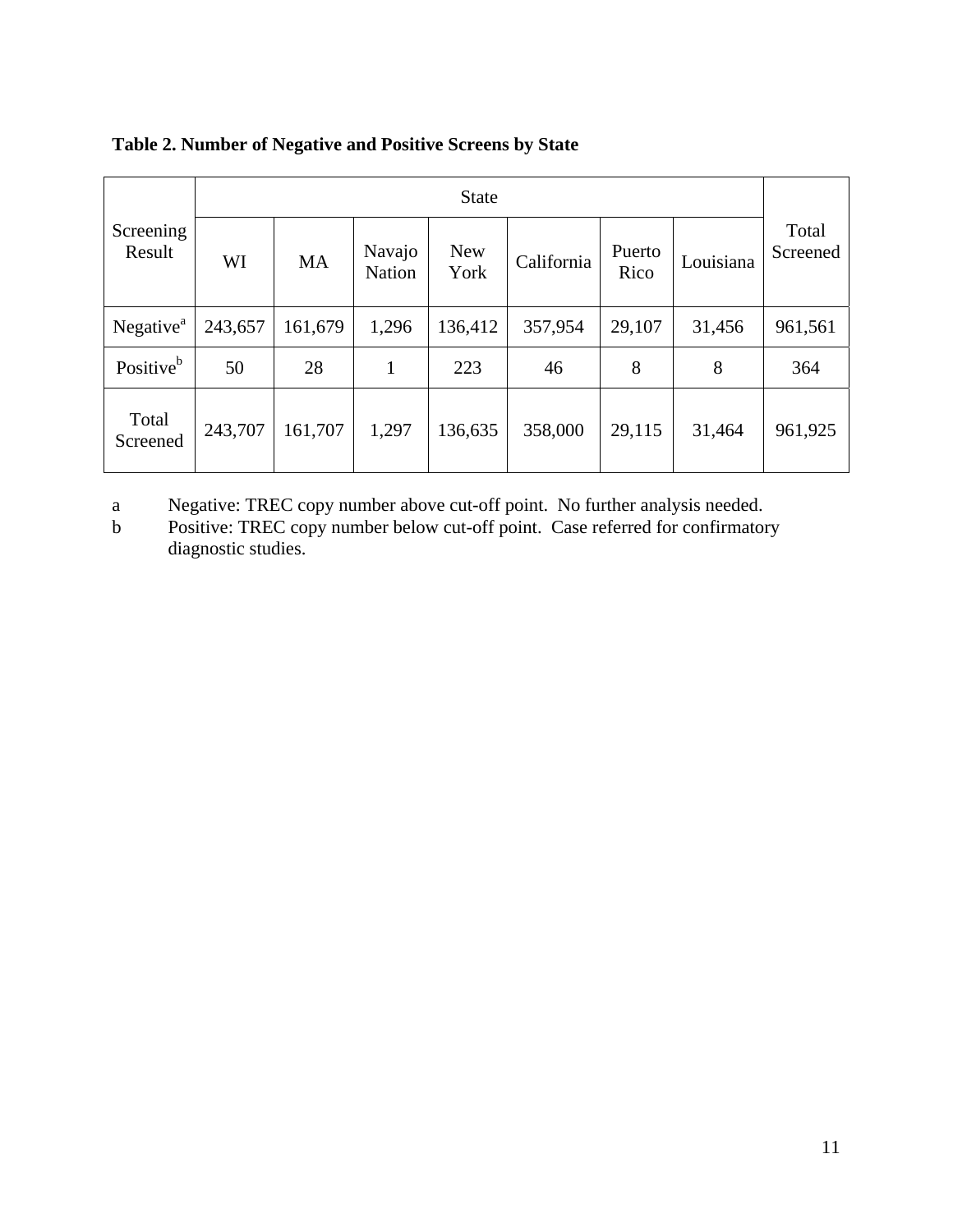|                       | <b>State</b> |           |                         |                    |            |                |           |                   |
|-----------------------|--------------|-----------|-------------------------|--------------------|------------|----------------|-----------|-------------------|
| Screening<br>Result   | WI           | <b>MA</b> | Navajo<br><b>Nation</b> | <b>New</b><br>York | California | Puerto<br>Rico | Louisiana | Total<br>Screened |
| Negative <sup>a</sup> | 243,657      | 161,679   | 1,296                   | 136,412            | 357,954    | 29,107         | 31,456    | 961,561           |
| Positive <sup>b</sup> | 50           | 28        | 1                       | 223                | 46         | 8              | 8         | 364               |
| Total<br>Screened     | 243,707      | 161,707   | 1,297                   | 136,635            | 358,000    | 29,115         | 31,464    | 961,925           |

### **Table 2. Number of Negative and Positive Screens by State**

a Negative: TREC copy number above cut-off point. No further analysis needed.

b Positive: TREC copy number below cut-off point. Case referred for confirmatory diagnostic studies.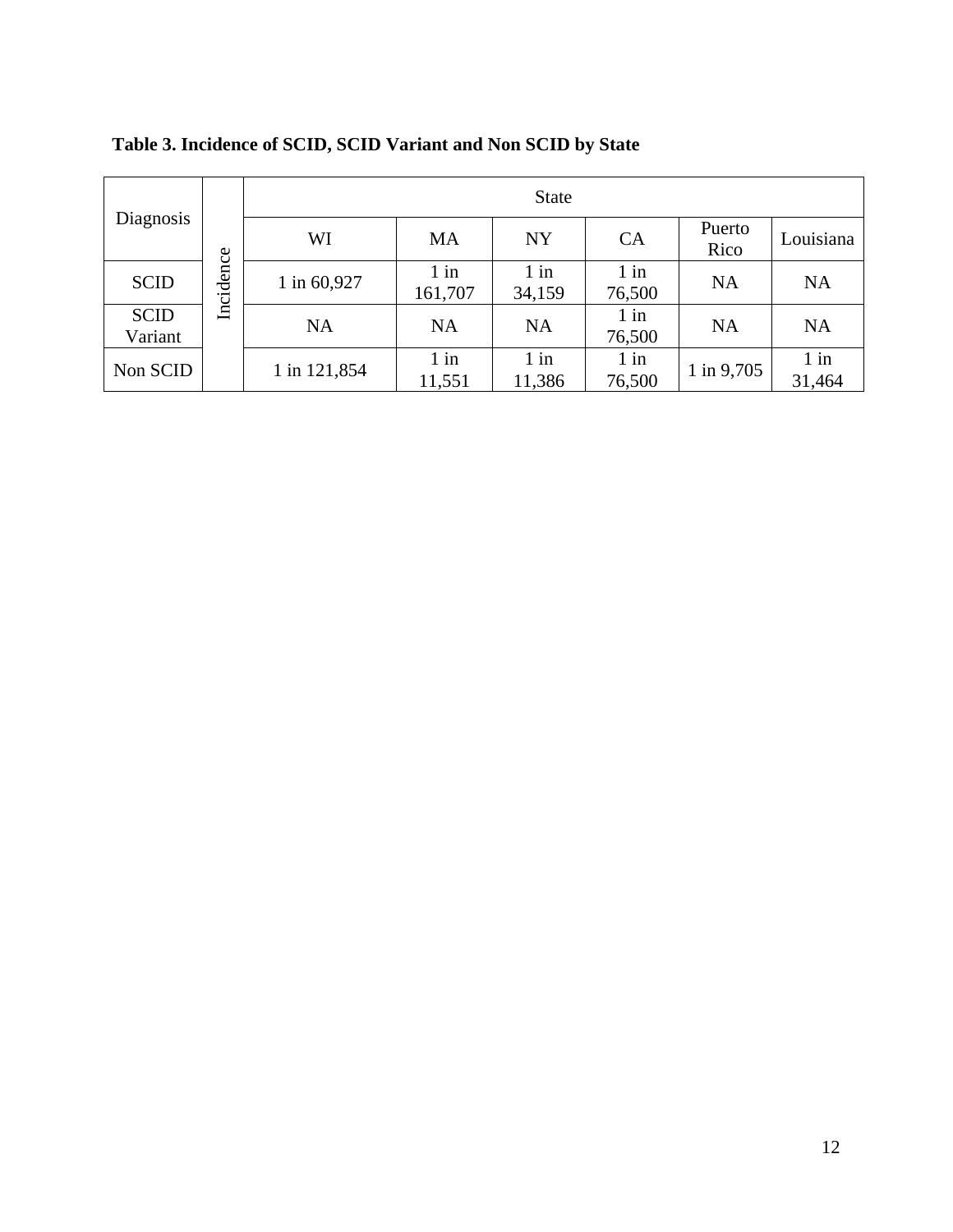| Diagnosis              |           | <b>State</b> |                   |                  |                  |                |                  |  |
|------------------------|-----------|--------------|-------------------|------------------|------------------|----------------|------------------|--|
|                        |           | WI           | MA                | <b>NY</b>        | CA               | Puerto<br>Rico | Louisiana        |  |
| <b>SCID</b>            | Incidence | 1 in 60,927  | $1$ in<br>161,707 | $1$ in<br>34,159 | $1$ in<br>76,500 | <b>NA</b>      | <b>NA</b>        |  |
| <b>SCID</b><br>Variant |           | <b>NA</b>    | <b>NA</b>         | <b>NA</b>        | $1$ in<br>76,500 | <b>NA</b>      | <b>NA</b>        |  |
| Non SCID               |           | 1 in 121,854 | $1$ in<br>11,551  | $1$ in<br>11,386 | $1$ in<br>76,500 | 1 in 9,705     | $1$ in<br>31,464 |  |

## **Table 3. Incidence of SCID, SCID Variant and Non SCID by State**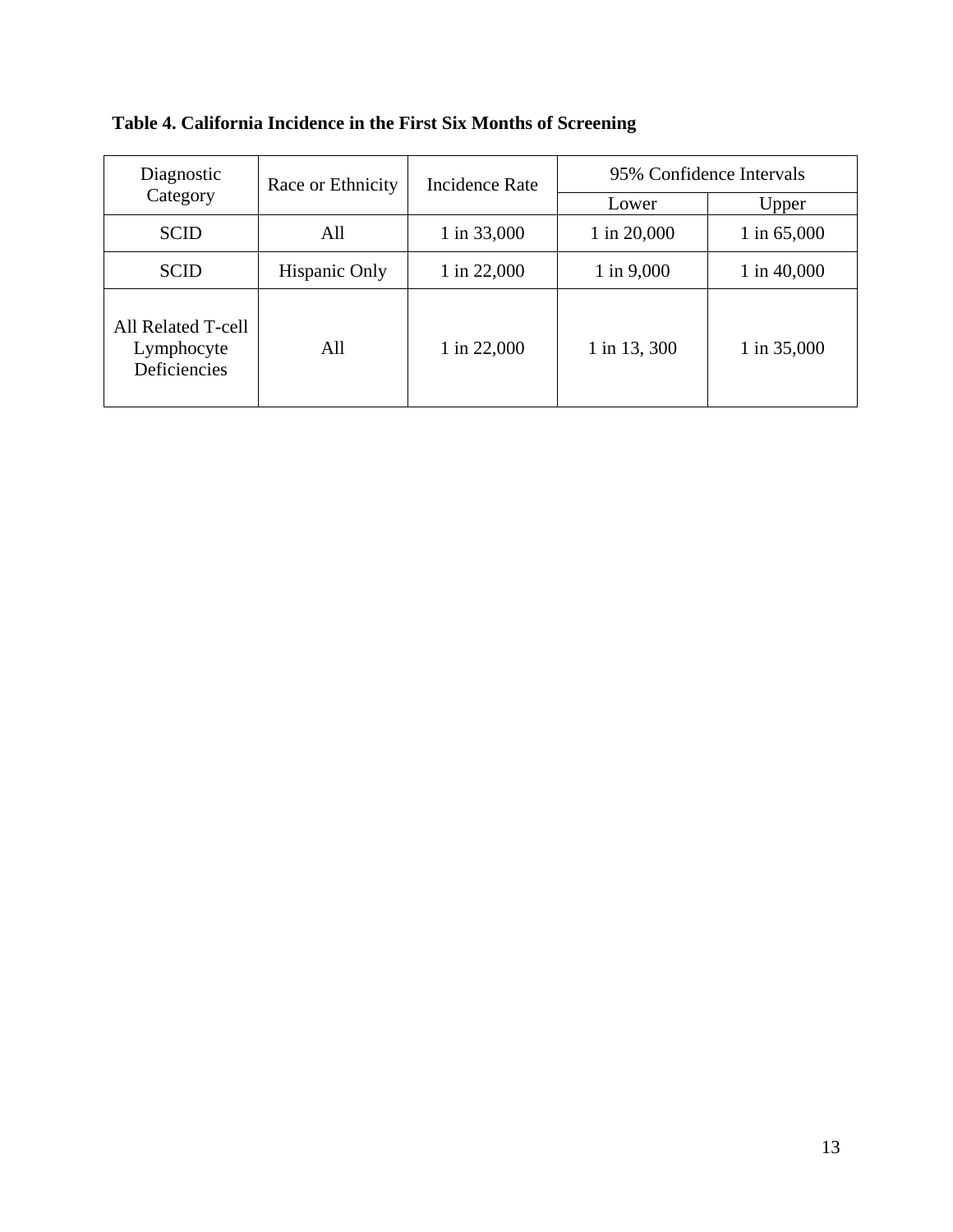| Diagnostic                                       | Race or Ethnicity | <b>Incidence Rate</b> | 95% Confidence Intervals |               |  |
|--------------------------------------------------|-------------------|-----------------------|--------------------------|---------------|--|
| Category                                         |                   |                       | Lower                    | Upper         |  |
| <b>SCID</b>                                      | All               | 1 in 33,000           | 1 in 20,000              | 1 in $65,000$ |  |
| <b>SCID</b>                                      | Hispanic Only     | 1 in 22,000           | 1 in 9,000               | 1 in $40,000$ |  |
| All Related T-cell<br>Lymphocyte<br>Deficiencies | All               | 1 in 22,000           | 1 in 13, 300             | 1 in 35,000   |  |

**Table 4. California Incidence in the First Six Months of Screening**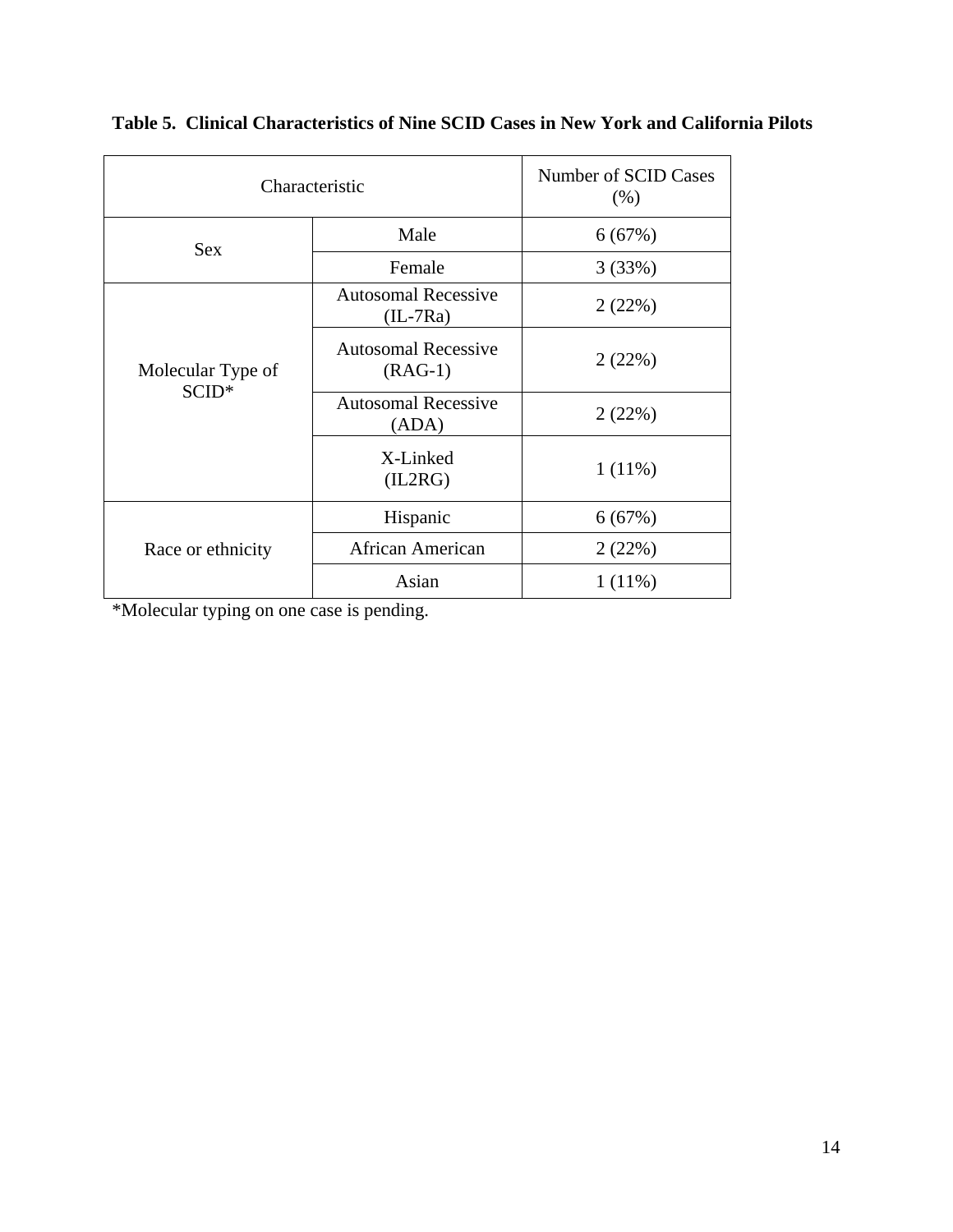| Characteristic    | Number of SCID Cases<br>(% )             |           |
|-------------------|------------------------------------------|-----------|
| <b>Sex</b>        | Male                                     | 6(67%)    |
|                   | Female                                   | 3(33%)    |
|                   | <b>Autosomal Recessive</b><br>$(IL-7Ra)$ | 2(22%)    |
| Molecular Type of | <b>Autosomal Recessive</b><br>$(RAG-1)$  | 2(22%)    |
| $SCID*$           | <b>Autosomal Recessive</b><br>(ADA)      | 2(22%)    |
|                   | X-Linked<br>(IL2RG)                      | $1(11\%)$ |
|                   | Hispanic                                 | 6(67%)    |
| Race or ethnicity | <b>African American</b>                  | 2(22%)    |
|                   | Asian                                    | $1(11\%)$ |

**Table 5. Clinical Characteristics of Nine SCID Cases in New York and California Pilots** 

\*Molecular typing on one case is pending.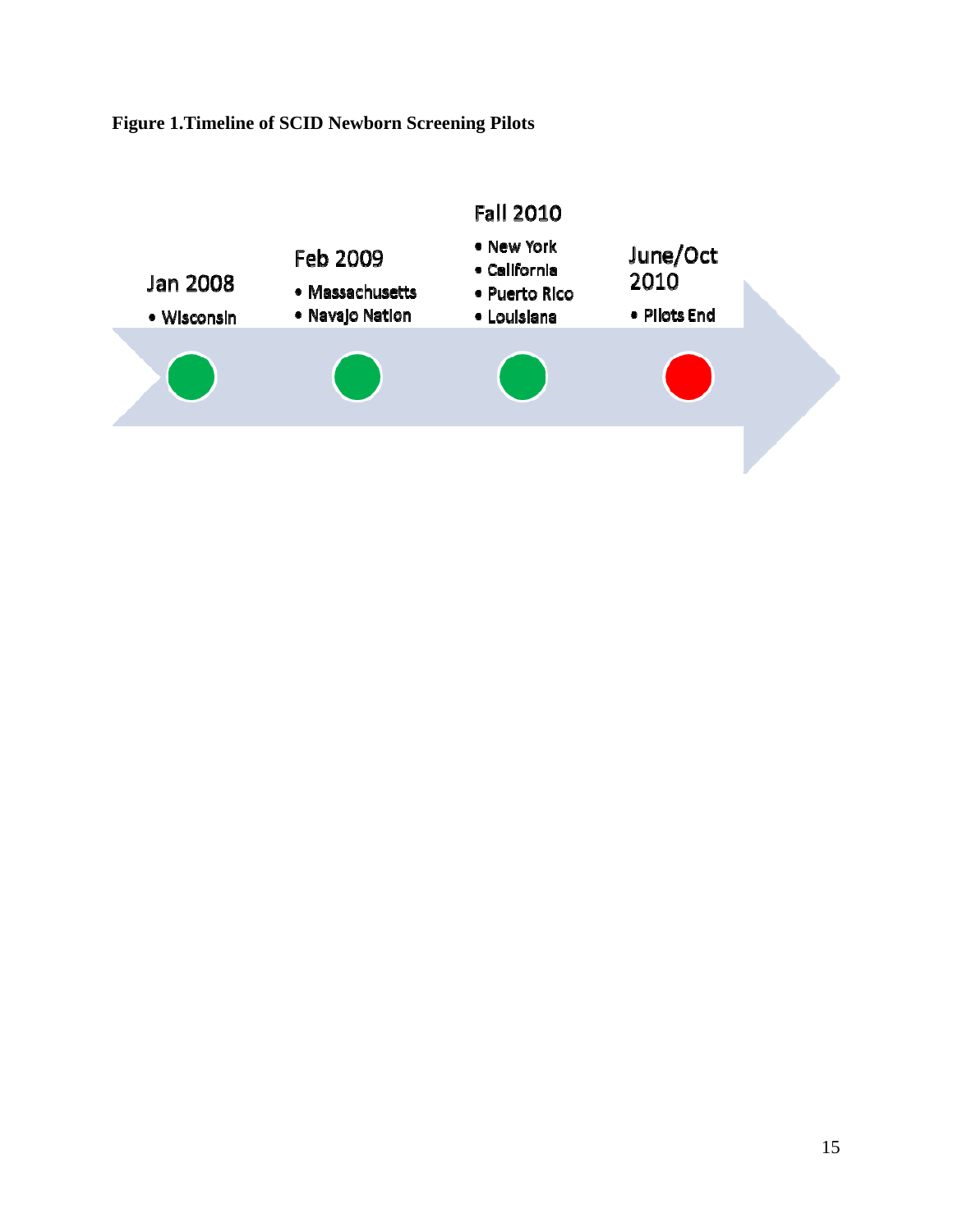## **Figure 1.Timeline of SCID Newborn Screening Pilots**

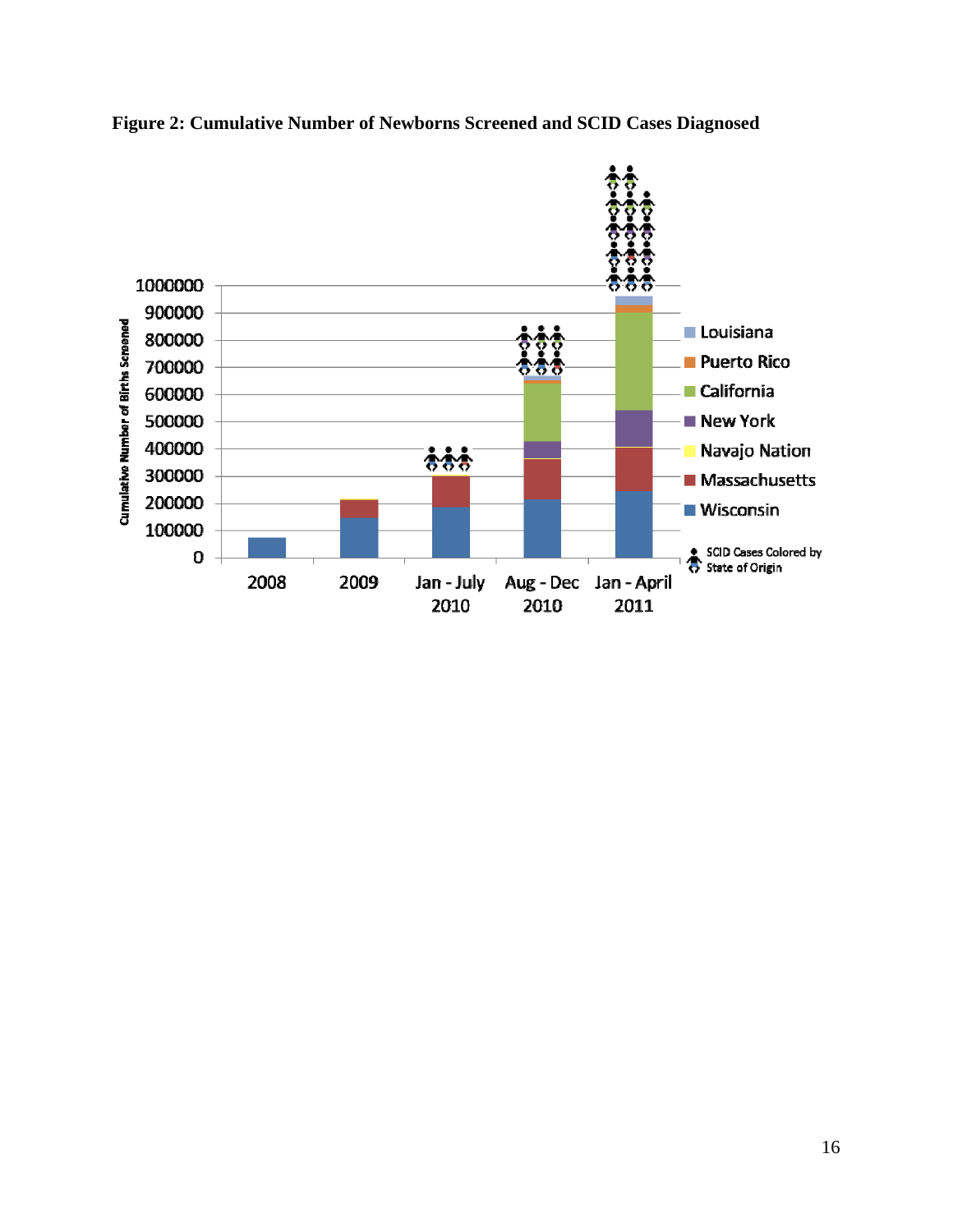

**Figure 2: Cumulative Number of Newborns Screened and SCID Cases Diagnosed**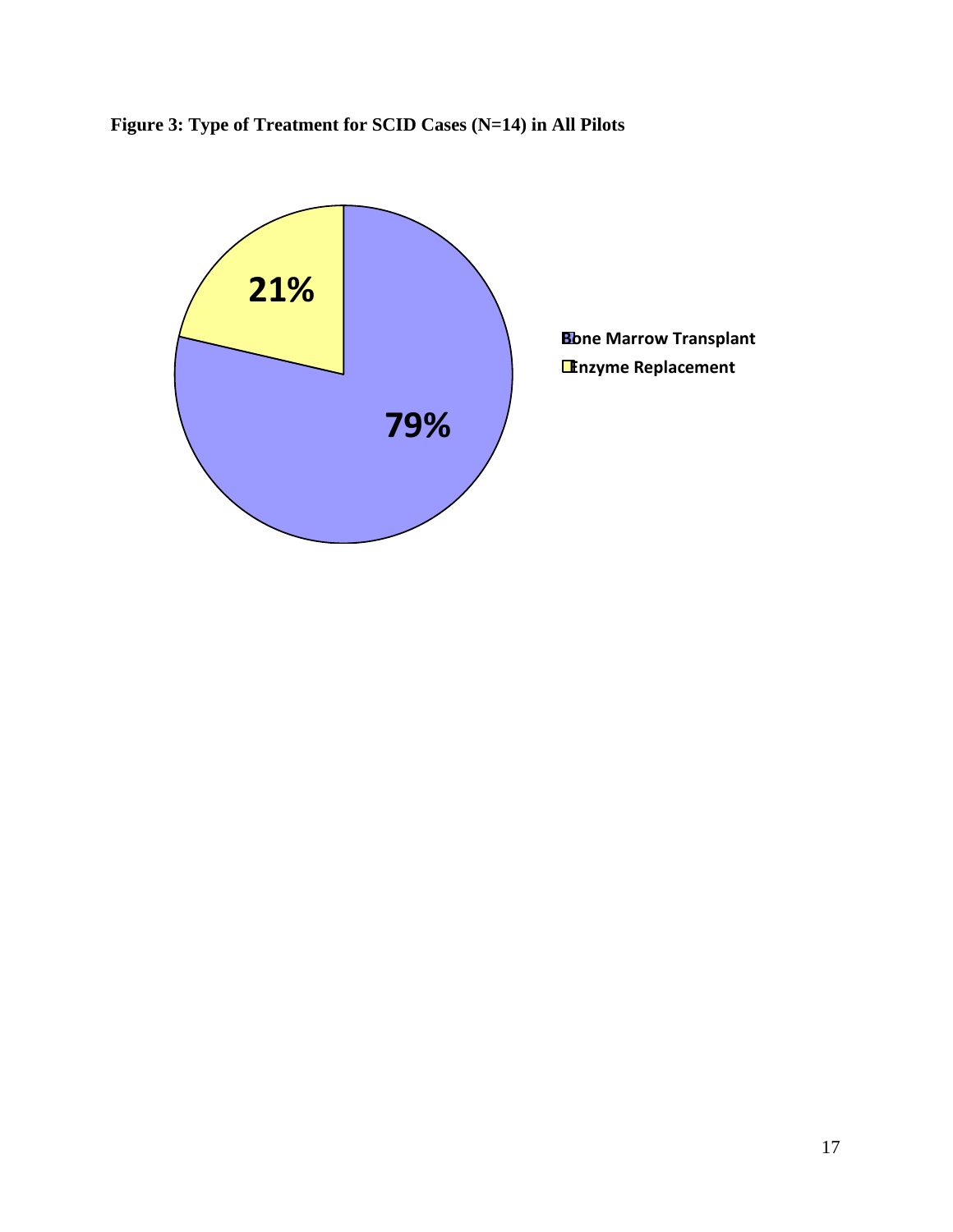

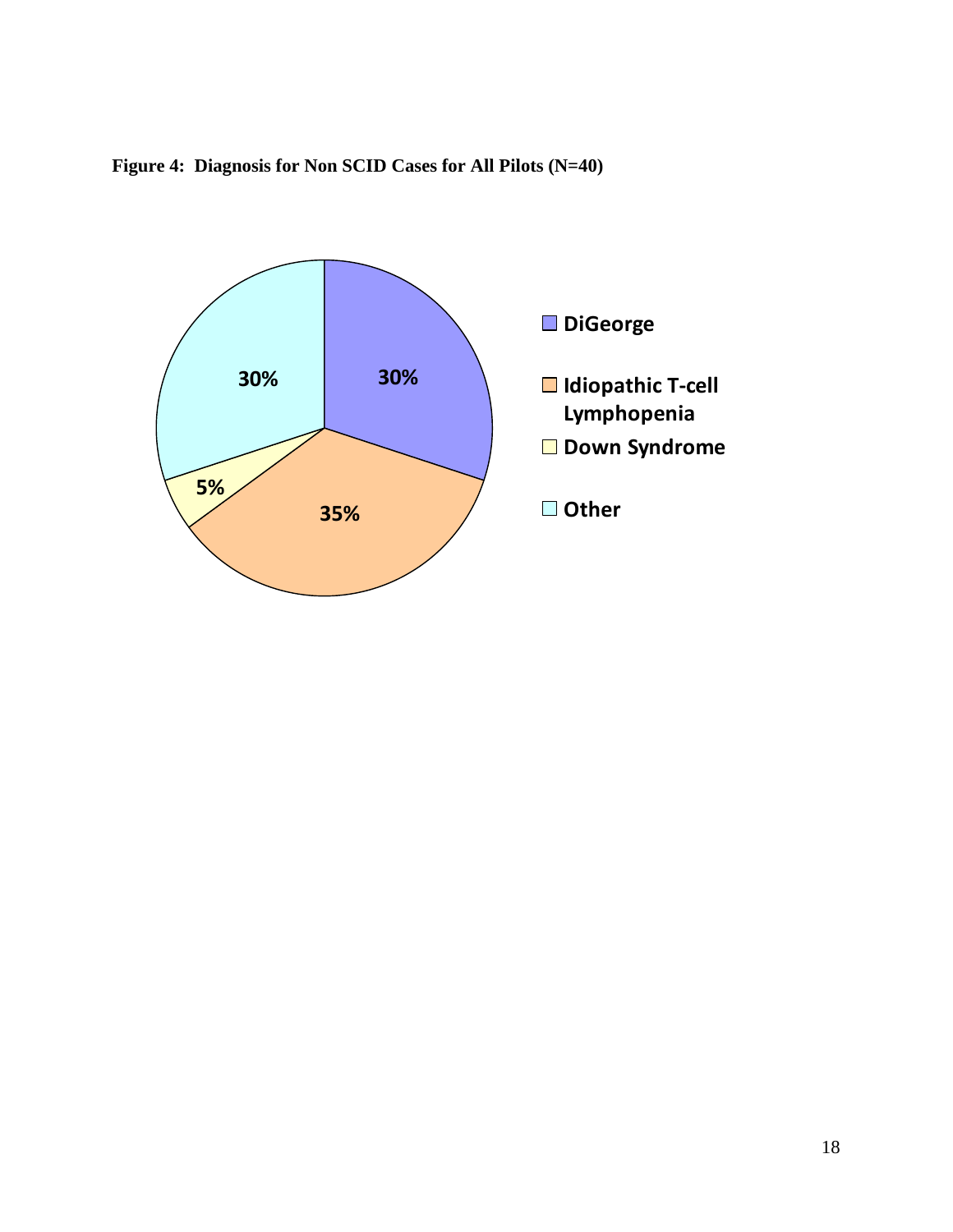

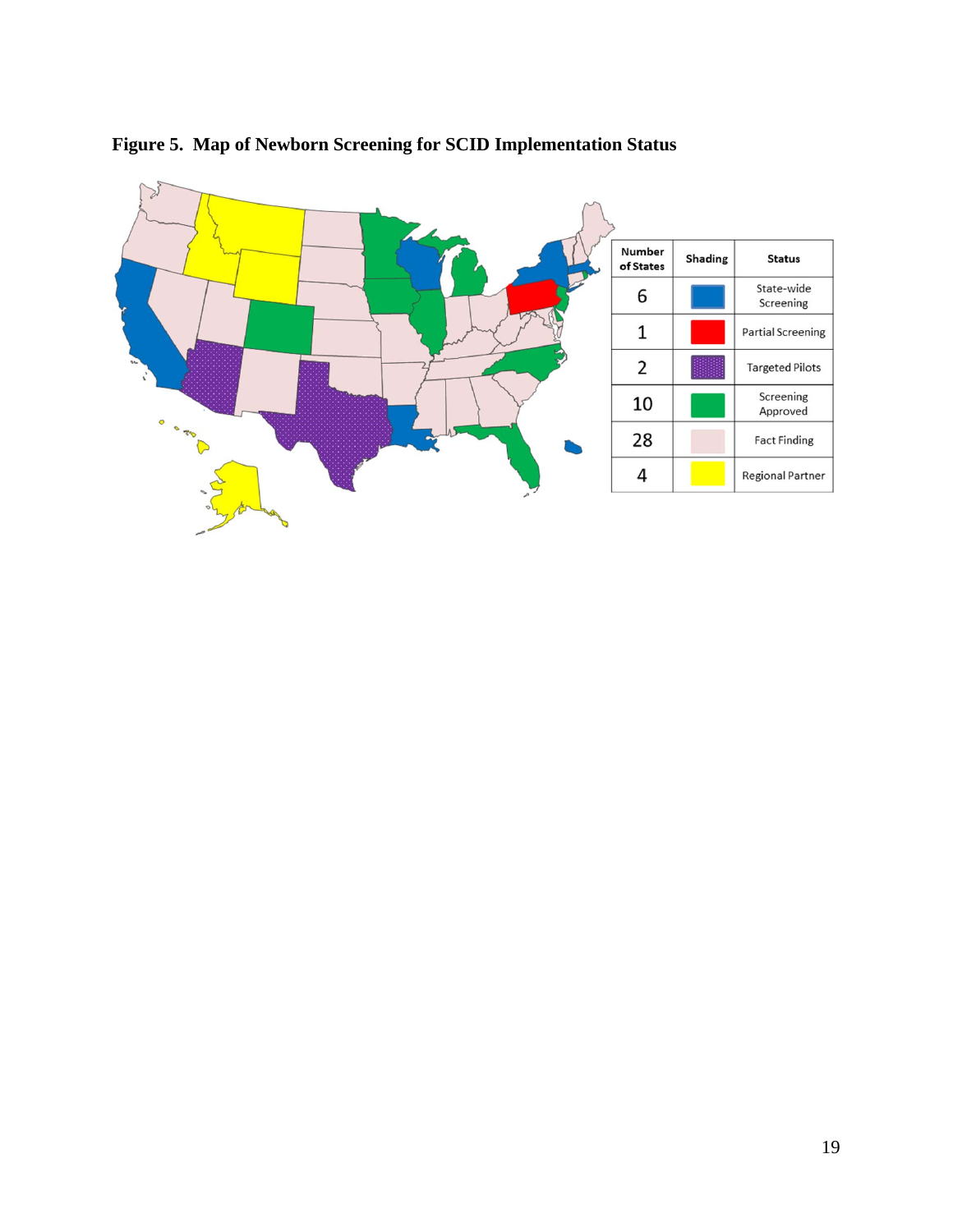

### **Figure 5. Map of Newborn Screening for SCID Implementation Status**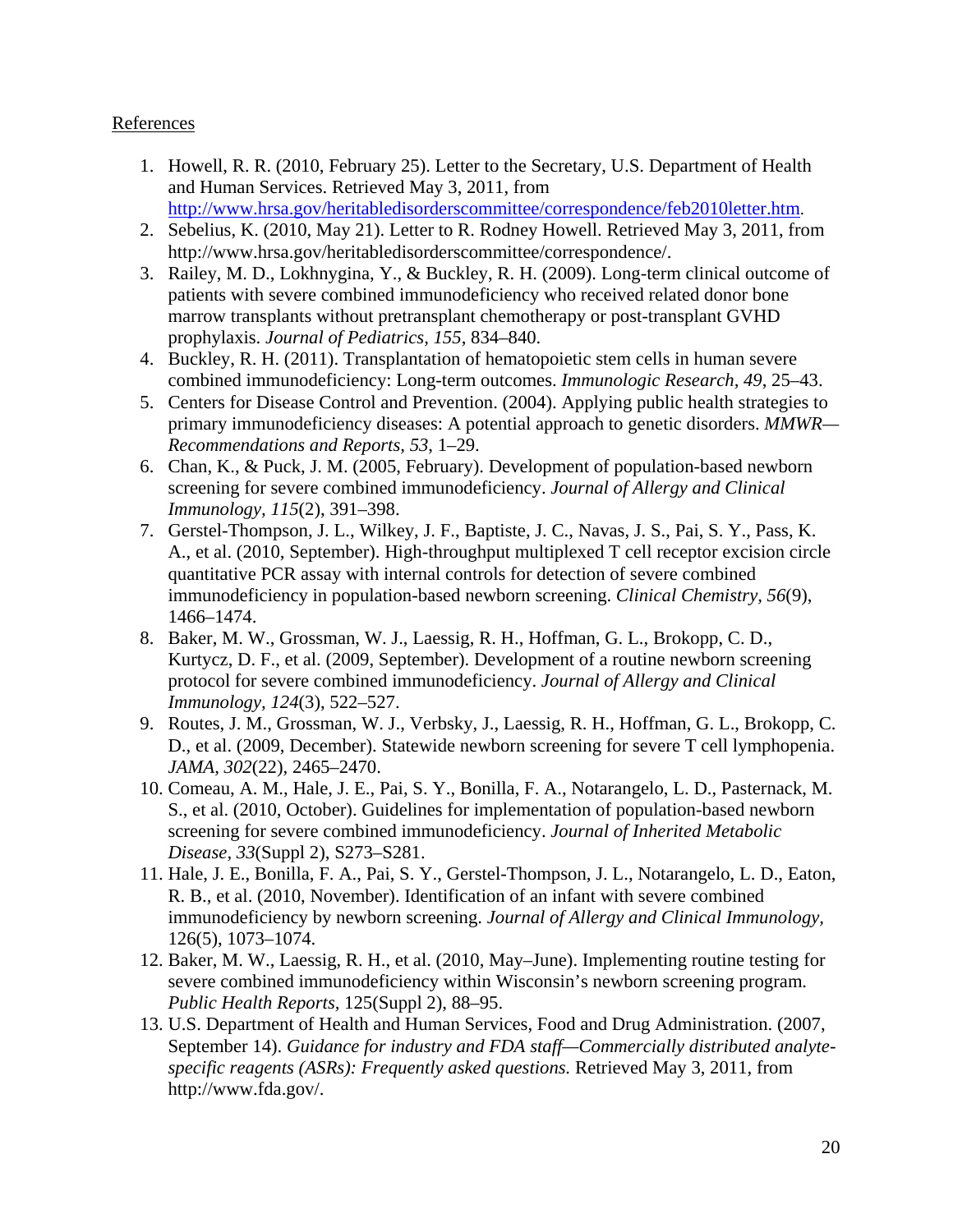#### References

- 1. Howell, R. R. (2010, February 25). Letter to the Secretary, U.S. Department of Health and Human Services. Retrieved May 3, 2011, from <http://www.hrsa.gov/heritabledisorderscommittee/correspondence/feb2010letter.htm>.
- 2. Sebelius, K. (2010, May 21). Letter to R. Rodney Howell. Retrieved May 3, 2011, from http://www.hrsa.gov/heritabledisorderscommittee/correspondence/.
- 3. Railey, M. D., Lokhnygina, Y., & Buckley, R. H. (2009). Long-term clinical outcome of patients with severe combined immunodeficiency who received related donor bone marrow transplants without pretransplant chemotherapy or post-transplant GVHD prophylaxis. *Journal of Pediatrics, 155*, 834–840.
- 4. Buckley, R. H. (2011). Transplantation of hematopoietic stem cells in human severe combined immunodeficiency: Long-term outcomes. *Immunologic Research, 49*, 25–43.
- 5. Centers for Disease Control and Prevention. (2004). Applying public health strategies to primary immunodeficiency diseases: A potential approach to genetic disorders. *MMWR— Recommendations and Reports, 53*, 1–29.
- 6. Chan, K., & Puck, J. M. (2005, February). Development of population-based newborn screening for severe combined immunodeficiency. *Journal of Allergy and Clinical Immunology, 115*(2), 391–398.
- 7. Gerstel-Thompson, J. L., Wilkey, J. F., Baptiste, J. C., Navas, J. S., Pai, S. Y., Pass, K. A., et al. (2010, September). High-throughput multiplexed T cell receptor excision circle quantitative PCR assay with internal controls for detection of severe combined immunodeficiency in population-based newborn screening. *Clinical Chemistry, 56*(9), 1466–1474.
- 8. Baker, M. W., Grossman, W. J., Laessig, R. H., Hoffman, G. L., Brokopp, C. D., Kurtycz, D. F., et al. (2009, September). Development of a routine newborn screening protocol for severe combined immunodeficiency. *Journal of Allergy and Clinical Immunology, 124*(3), 522–527.
- 9. Routes, J. M., Grossman, W. J., Verbsky, J., Laessig, R. H., Hoffman, G. L., Brokopp, C. D., et al. (2009, December). Statewide newborn screening for severe T cell lymphopenia. *JAMA, 302*(22), 2465–2470.
- 10. Comeau, A. M., Hale, J. E., Pai, S. Y., Bonilla, F. A., Notarangelo, L. D., Pasternack, M. S., et al. (2010, October). Guidelines for implementation of population-based newborn screening for severe combined immunodeficiency. *Journal of Inherited Metabolic Disease, 33*(Suppl 2), S273–S281.
- 11. Hale, J. E., Bonilla, F. A., Pai, S. Y., Gerstel-Thompson, J. L., Notarangelo, L. D., Eaton, R. B., et al. (2010, November). Identification of an infant with severe combined immunodeficiency by newborn screening. *Journal of Allergy and Clinical Immunology,* 126(5), 1073–1074.
- 12. Baker, M. W., Laessig, R. H., et al. (2010, May–June). Implementing routine testing for severe combined immunodeficiency within Wisconsin's newborn screening program. *Public Health Reports,* 125(Suppl 2), 88–95.
- 13. U.S. Department of Health and Human Services, Food and Drug Administration. (2007, September 14). *Guidance for industry and FDA staff—Commercially distributed analytespecific reagents (ASRs): Frequently asked questions.* Retrieved May 3, 2011, from http://www.fda.gov/.